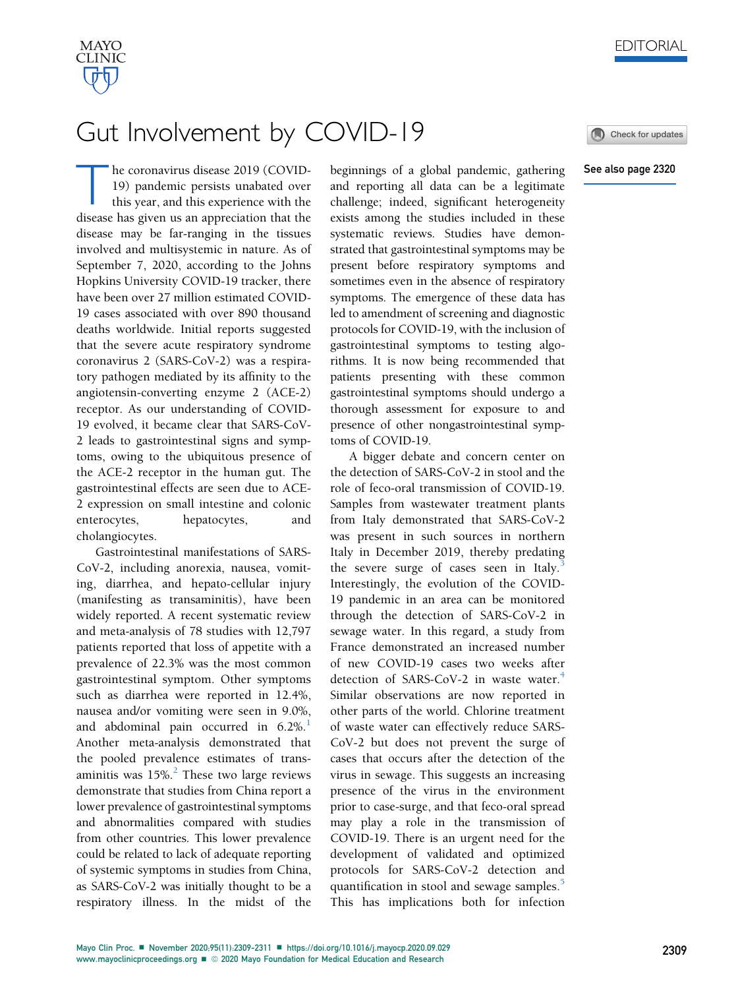

## Gut Involvement by COVID-19

Check for updates

## See also page 2320

The coronavirus disease 2019 (COVID-<br>
19) pandemic persists unabated over<br>
this year, and this experience with the<br>
disease has given us an appreciation that the 19) pandemic persists unabated over disease has given us an appreciation that the disease may be far-ranging in the tissues involved and multisystemic in nature. As of September 7, 2020, according to the Johns Hopkins University COVID-19 tracker, there have been over 27 million estimated COVID-19 cases associated with over 890 thousand deaths worldwide. Initial reports suggested that the severe acute respiratory syndrome coronavirus 2 (SARS-CoV-2) was a respiratory pathogen mediated by its affinity to the angiotensin-converting enzyme 2 (ACE-2) receptor. As our understanding of COVID-19 evolved, it became clear that SARS-CoV-2 leads to gastrointestinal signs and symptoms, owing to the ubiquitous presence of the ACE-2 receptor in the human gut. The gastrointestinal effects are seen due to ACE-2 expression on small intestine and colonic enterocytes, hepatocytes, and cholangiocytes.

Gastrointestinal manifestations of SARS-CoV-2, including anorexia, nausea, vomiting, diarrhea, and hepato-cellular injury (manifesting as transaminitis), have been widely reported. A recent systematic review and meta-analysis of 78 studies with 12,797 patients reported that loss of appetite with a prevalence of 22.3% was the most common gastrointestinal symptom. Other symptoms such as diarrhea were reported in 12.4%, nausea and/or vomiting were seen in 9.0%, and abdominal pain occurred in  $6.2\%$ .<sup>[1](#page-2-0)</sup> Another meta-analysis demonstrated that the pooled prevalence estimates of transaminitis was  $15\%$ <sup>[2](#page-2-1)</sup>. These two large reviews demonstrate that studies from China report a lower prevalence of gastrointestinal symptoms and abnormalities compared with studies from other countries. This lower prevalence could be related to lack of adequate reporting of systemic symptoms in studies from China, as SARS-CoV-2 was initially thought to be a respiratory illness. In the midst of the

beginnings of a global pandemic, gathering and reporting all data can be a legitimate challenge; indeed, significant heterogeneity exists among the studies included in these systematic reviews. Studies have demonstrated that gastrointestinal symptoms may be present before respiratory symptoms and sometimes even in the absence of respiratory symptoms. The emergence of these data has led to amendment of screening and diagnostic protocols for COVID-19, with the inclusion of gastrointestinal symptoms to testing algorithms. It is now being recommended that patients presenting with these common gastrointestinal symptoms should undergo a thorough assessment for exposure to and presence of other nongastrointestinal symptoms of COVID-19.

A bigger debate and concern center on the detection of SARS-CoV-2 in stool and the role of feco-oral transmission of COVID-19. Samples from wastewater treatment plants from Italy demonstrated that SARS-CoV-2 was present in such sources in northern Italy in December 2019, thereby predating the severe surge of cases seen in Italy.<sup>[3](#page-2-2)</sup> Interestingly, the evolution of the COVID-19 pandemic in an area can be monitored through the detection of SARS-CoV-2 in sewage water. In this regard, a study from France demonstrated an increased number of new COVID-19 cases two weeks after detection of SARS-CoV-2 in waste water.<sup>[4](#page-2-3)</sup> Similar observations are now reported in other parts of the world. Chlorine treatment of waste water can effectively reduce SARS-CoV-2 but does not prevent the surge of cases that occurs after the detection of the virus in sewage. This suggests an increasing presence of the virus in the environment prior to case-surge, and that feco-oral spread may play a role in the transmission of COVID-19. There is an urgent need for the development of validated and optimized protocols for SARS-CoV-2 detection and quantification in stool and sewage samples.<sup>[5](#page-2-4)</sup> This has implications both for infection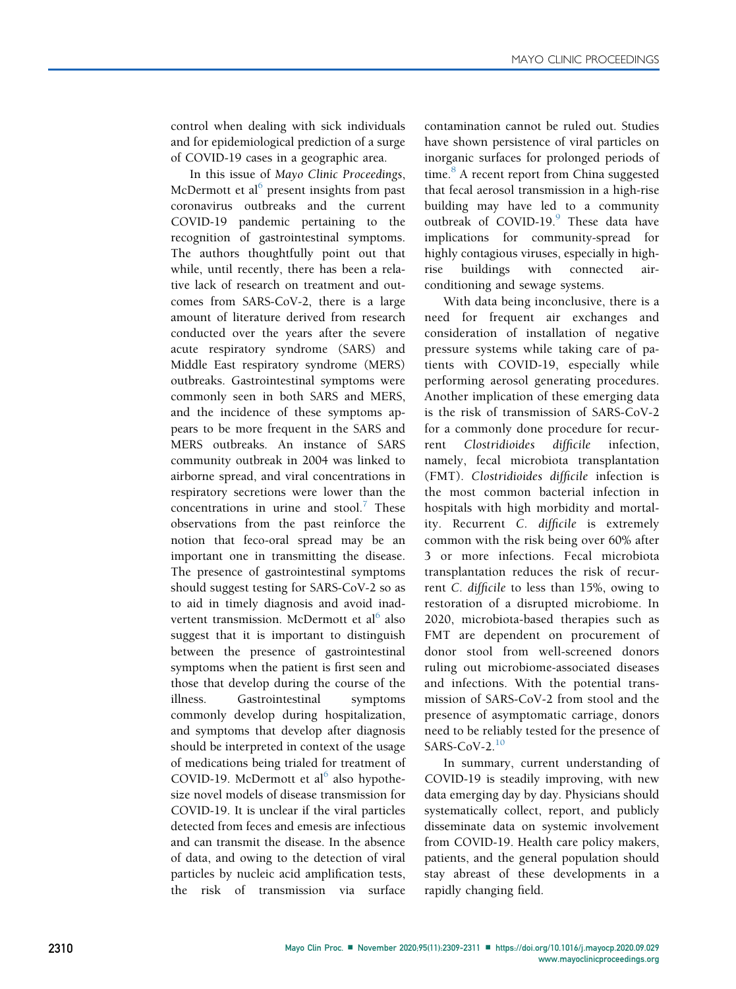control when dealing with sick individuals and for epidemiological prediction of a surge of COVID-19 cases in a geographic area.

In this issue of Mayo Clinic Proceedings, McDermott et al $<sup>6</sup>$  $<sup>6</sup>$  $<sup>6</sup>$  present insights from past</sup> coronavirus outbreaks and the current COVID-19 pandemic pertaining to the recognition of gastrointestinal symptoms. The authors thoughtfully point out that while, until recently, there has been a relative lack of research on treatment and outcomes from SARS-CoV-2, there is a large amount of literature derived from research conducted over the years after the severe acute respiratory syndrome (SARS) and Middle East respiratory syndrome (MERS) outbreaks. Gastrointestinal symptoms were commonly seen in both SARS and MERS, and the incidence of these symptoms appears to be more frequent in the SARS and MERS outbreaks. An instance of SARS community outbreak in 2004 was linked to airborne spread, and viral concentrations in respiratory secretions were lower than the concentrations in urine and stool.<sup>[7](#page-2-6)</sup> These observations from the past reinforce the notion that feco-oral spread may be an important one in transmitting the disease. The presence of gastrointestinal symptoms should suggest testing for SARS-CoV-2 so as to aid in timely diagnosis and avoid inadvertent transmission. McDermott et  $al^6$  $al^6$  also suggest that it is important to distinguish between the presence of gastrointestinal symptoms when the patient is first seen and those that develop during the course of the illness. Gastrointestinal symptoms commonly develop during hospitalization, and symptoms that develop after diagnosis should be interpreted in context of the usage of medications being trialed for treatment of COVID-19. McDermott et al<sup>[6](#page-2-5)</sup> also hypothesize novel models of disease transmission for COVID-19. It is unclear if the viral particles detected from feces and emesis are infectious and can transmit the disease. In the absence of data, and owing to the detection of viral particles by nucleic acid amplification tests, the risk of transmission via surface contamination cannot be ruled out. Studies have shown persistence of viral particles on inorganic surfaces for prolonged periods of time.<sup>[8](#page-2-7)</sup> A recent report from China suggested that fecal aerosol transmission in a high-rise building may have led to a community outbreak of  $COVID-19.9$  $COVID-19.9$  $COVID-19.9$  These data have implications for community-spread for highly contagious viruses, especially in highrise buildings with connected airconditioning and sewage systems.

With data being inconclusive, there is a need for frequent air exchanges and consideration of installation of negative pressure systems while taking care of patients with COVID-19, especially while performing aerosol generating procedures. Another implication of these emerging data is the risk of transmission of SARS-CoV-2 for a commonly done procedure for recurrent Clostridioides difficile infection, namely, fecal microbiota transplantation (FMT). Clostridioides difficile infection is the most common bacterial infection in hospitals with high morbidity and mortality. Recurrent C. difficile is extremely common with the risk being over 60% after 3 or more infections. Fecal microbiota transplantation reduces the risk of recurrent C. difficile to less than 15%, owing to restoration of a disrupted microbiome. In 2020, microbiota-based therapies such as FMT are dependent on procurement of donor stool from well-screened donors ruling out microbiome-associated diseases and infections. With the potential transmission of SARS-CoV-2 from stool and the presence of asymptomatic carriage, donors need to be reliably tested for the presence of  $SARS-CoV-2.<sup>10</sup>$  $SARS-CoV-2.<sup>10</sup>$  $SARS-CoV-2.<sup>10</sup>$ 

In summary, current understanding of COVID-19 is steadily improving, with new data emerging day by day. Physicians should systematically collect, report, and publicly disseminate data on systemic involvement from COVID-19. Health care policy makers, patients, and the general population should stay abreast of these developments in a rapidly changing field.